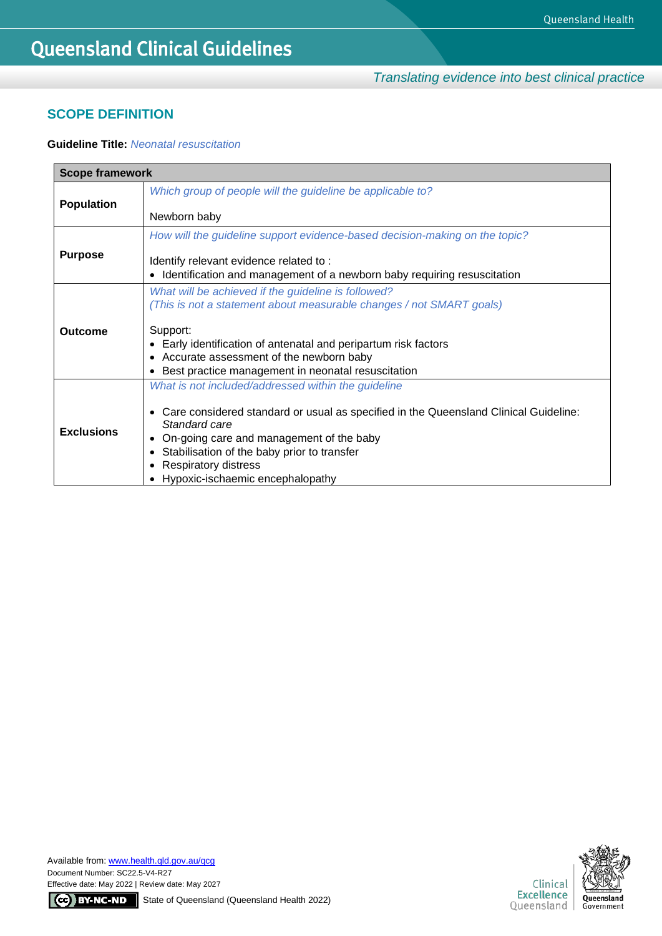*Translating evidence into best clinical practice*

## **SCOPE DEFINITION**

## **Guideline Title:** *Neonatal resuscitation*

| <b>Scope framework</b> |                                                                                                                                                                                                               |  |  |
|------------------------|---------------------------------------------------------------------------------------------------------------------------------------------------------------------------------------------------------------|--|--|
| <b>Population</b>      | Which group of people will the guideline be applicable to?                                                                                                                                                    |  |  |
|                        | Newborn baby                                                                                                                                                                                                  |  |  |
|                        | How will the guideline support evidence-based decision-making on the topic?                                                                                                                                   |  |  |
| <b>Purpose</b>         | Identify relevant evidence related to:                                                                                                                                                                        |  |  |
|                        | Identification and management of a newborn baby requiring resuscitation                                                                                                                                       |  |  |
|                        | What will be achieved if the guideline is followed?                                                                                                                                                           |  |  |
|                        | (This is not a statement about measurable changes / not SMART goals)                                                                                                                                          |  |  |
| <b>Outcome</b>         | Support:<br>Early identification of antenatal and peripartum risk factors                                                                                                                                     |  |  |
|                        | Accurate assessment of the newborn baby<br>Best practice management in neonatal resuscitation                                                                                                                 |  |  |
|                        | What is not included/addressed within the guideline                                                                                                                                                           |  |  |
| <b>Exclusions</b>      | Care considered standard or usual as specified in the Queensland Clinical Guideline:<br>$\bullet$<br>Standard care<br>On-going care and management of the baby<br>Stabilisation of the baby prior to transfer |  |  |
|                        |                                                                                                                                                                                                               |  |  |
|                        | <b>Respiratory distress</b><br>Hypoxic-ischaemic encephalopathy                                                                                                                                               |  |  |